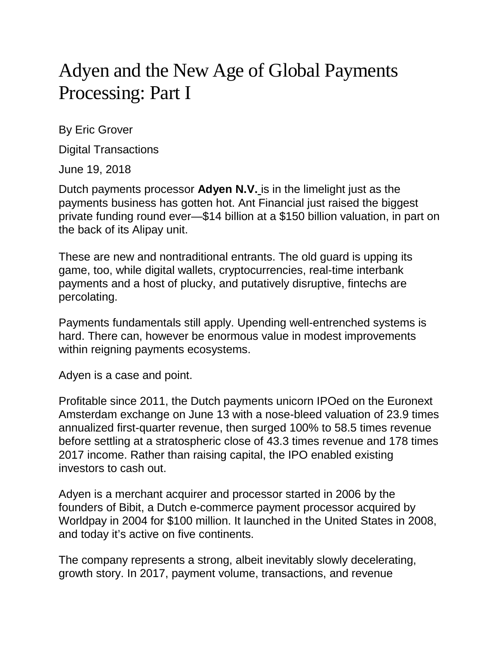## Adyen and the New Age of Global Payments Processing: Part I

By Eric Grover

Digital Transactions

June 19, 2018

Dutch payments processor **[Adyen](http://www.digitaltransactions.net/sensing-strengths-investors-send-adyens-valuation-skyrocketing/) N.V.** is in the limelight just as the payments business has gotten hot. Ant Financial just raised the biggest private funding round ever—\$14 billion at a \$150 billion valuation, in part on the back of its Alipay unit.

These are new and nontraditional entrants. The old guard is upping its game, too, while digital wallets, cryptocurrencies, real-time interbank payments and a host of plucky, and putatively disruptive, fintechs are percolating.

Payments fundamentals still apply. Upending well-entrenched systems is hard. There can, however be enormous value in modest improvements within reigning payments ecosystems.

Adyen is a case and point.

Profitable since 2011, the Dutch payments unicorn IPOed on the Euronext Amsterdam exchange on June 13 with a nose-bleed valuation of 23.9 times annualized first-quarter revenue, then surged 100% to 58.5 times revenue before settling at a stratospheric close of 43.3 times revenue and 178 times 2017 income. Rather than raising capital, the IPO enabled existing investors to cash out.

Adyen is a merchant acquirer and processor started in 2006 by the founders of Bibit, a Dutch e-commerce payment processor acquired by Worldpay in 2004 for \$100 million. It launched in the United States in 2008, and today it's active on five continents.

The company represents a strong, albeit inevitably slowly decelerating, growth story. In 2017, payment volume, transactions, and revenue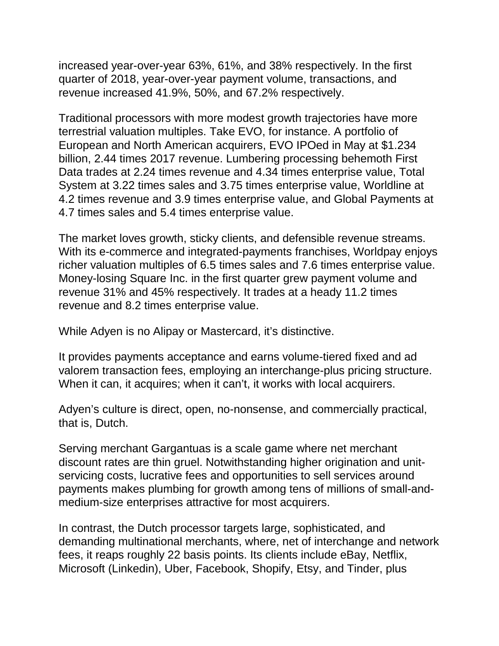increased year-over-year 63%, 61%, and 38% respectively. In the first quarter of 2018, year-over-year payment volume, transactions, and revenue increased 41.9%, 50%, and 67.2% respectively.

Traditional processors with more modest growth trajectories have more terrestrial valuation multiples. Take EVO, for instance. A portfolio of European and North American acquirers, EVO IPOed in May at \$1.234 billion, 2.44 times 2017 revenue. Lumbering processing behemoth First Data trades at 2.24 times revenue and 4.34 times enterprise value, Total System at 3.22 times sales and 3.75 times enterprise value, Worldline at 4.2 times revenue and 3.9 times enterprise value, and Global Payments at 4.7 times sales and 5.4 times enterprise value.

The market loves growth, sticky clients, and defensible revenue streams. With its e-commerce and integrated-payments franchises, Worldpay enjoys richer valuation multiples of 6.5 times sales and 7.6 times enterprise value. Money-losing Square Inc. in the first quarter grew payment volume and revenue 31% and 45% respectively. It trades at a heady 11.2 times revenue and 8.2 times enterprise value.

While Adyen is no Alipay or Mastercard, it's distinctive.

It provides payments acceptance and earns volume-tiered fixed and ad valorem transaction fees, employing an interchange-plus pricing structure. When it can, it acquires; when it can't, it works with local acquirers.

Adyen's culture is direct, open, no-nonsense, and commercially practical, that is, Dutch.

Serving merchant Gargantuas is a scale game where net merchant discount rates are thin gruel. Notwithstanding higher origination and unitservicing costs, lucrative fees and opportunities to sell services around payments makes plumbing for growth among tens of millions of small-andmedium-size enterprises attractive for most acquirers.

In contrast, the Dutch processor targets large, sophisticated, and demanding multinational merchants, where, net of interchange and network fees, it reaps roughly 22 basis points. Its clients include eBay, Netflix, Microsoft (Linkedin), Uber, Facebook, Shopify, Etsy, and Tinder, plus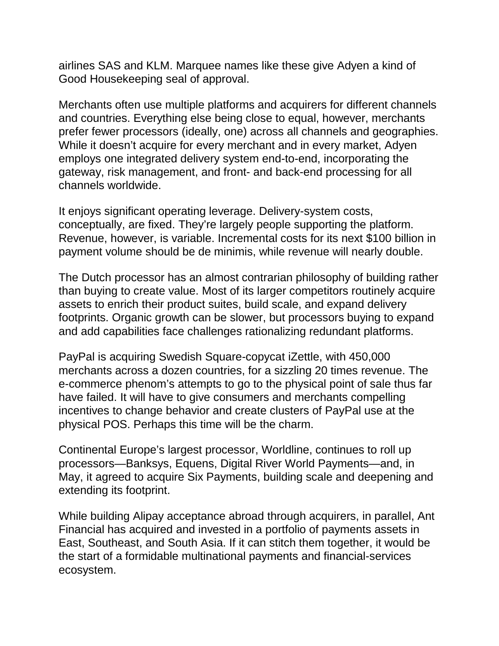airlines SAS and KLM. Marquee names like these give Adyen a kind of Good Housekeeping seal of approval.

Merchants often use multiple platforms and acquirers for different channels and countries. Everything else being close to equal, however, merchants prefer fewer processors (ideally, one) across all channels and geographies. While it doesn't acquire for every merchant and in every market, Adyen employs one integrated delivery system end-to-end, incorporating the gateway, risk management, and front- and back-end processing for all channels worldwide.

It enjoys significant operating leverage. Delivery-system costs, conceptually, are fixed. They're largely people supporting the platform. Revenue, however, is variable. Incremental costs for its next \$100 billion in payment volume should be de minimis, while revenue will nearly double.

The Dutch processor has an almost contrarian philosophy of building rather than buying to create value. Most of its larger competitors routinely acquire assets to enrich their product suites, build scale, and expand delivery footprints. Organic growth can be slower, but processors buying to expand and add capabilities face challenges rationalizing redundant platforms.

PayPal is acquiring Swedish Square-copycat iZettle, with 450,000 merchants across a dozen countries, for a sizzling 20 times revenue. The e-commerce phenom's attempts to go to the physical point of sale thus far have failed. It will have to give consumers and merchants compelling incentives to change behavior and create clusters of PayPal use at the physical POS. Perhaps this time will be the charm.

Continental Europe's largest processor, Worldline, continues to roll up processors—Banksys, Equens, Digital River World Payments—and, in May, it agreed to acquire Six Payments, building scale and deepening and extending its footprint.

While building Alipay acceptance abroad through acquirers, in parallel, Ant Financial has acquired and invested in a portfolio of payments assets in East, Southeast, and South Asia. If it can stitch them together, it would be the start of a formidable multinational payments and financial-services ecosystem.